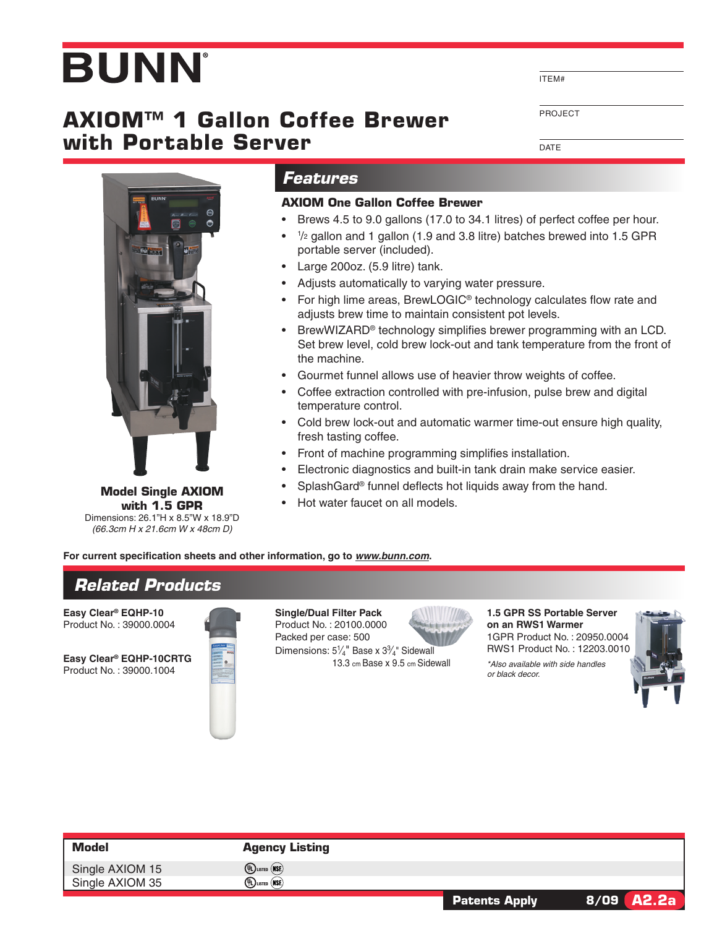# **BUNN**

## **AXIOM™ 1 Gallon Coffee Brewer with Portable Server**

ITEM#

PROJECT

**DATE** 



**Model Single AXIOM with 1.5 GPR** Dimensions: 26.1"H x 8.5"W x 18.9"D *(66.3cm H x 21.6cm W x 48cm D)*

### *Features*

#### **AXIOM One Gallon Coffee Brewer**

- • Brews 4.5 to 9.0 gallons (17.0 to 34.1 litres) of perfect coffee per hour.
- $\bullet$  1/2 gallon and 1 gallon (1.9 and 3.8 litre) batches brewed into 1.5 GPR portable server (included).
- • Large 200oz. (5.9 litre) tank.
- Adjusts automatically to varying water pressure.
- For high lime areas, BrewLOGIC<sup>®</sup> technology calculates flow rate and adjusts brew time to maintain consistent pot levels.
- BrewWIZARD<sup>®</sup> technology simplifies brewer programming with an LCD. Set brew level, cold brew lock-out and tank temperature from the front of the machine.
- • Gourmet funnel allows use of heavier throw weights of coffee.
- Coffee extraction controlled with pre-infusion, pulse brew and digital temperature control.
- Cold brew lock-out and automatic warmer time-out ensure high quality, fresh tasting coffee.
- Front of machine programming simplifies installation.
- Electronic diagnostics and built-in tank drain make service easier.
- SplashGard<sup>®</sup> funnel deflects hot liquids away from the hand.
- Hot water faucet on all models.

**For current specification sheets and other information, go to** *www.bunn.com***.**

## *Related Products*

**Easy Clear® EQHP-10** Product No. : 39000.0004

**Easy Clear® EQHP-10CRTG** Product No. : 39000.1004



**Single/Dual Filter Pack** Product No. : 20100.0000 Packed per case: 500 Dimensions:  $5\frac{1}{4}$ " Base x  $3\frac{3}{4}$ " Sidewall 13.3 cm Base x 9.5 cm Sidewall



**1.5 GPR SS Portable Server on an RWS1 Warmer** 1GPR Product No. : 20950.0004 RWS1 Product No. : 12203.0010

*\*Also available with side handles or black decor.*



| <b>Model</b>    | <b>Agency Listing</b>                                                    |                      |              |
|-----------------|--------------------------------------------------------------------------|----------------------|--------------|
| Single AXIOM 15 | $\left(\mathbb{q}\right)$ listed $\left(\widetilde{\mathsf{NSE}}\right)$ |                      |              |
| Single AXIOM 35 | $\left(\mathbb{q}\right)$ listed $\left(\text{NSE}\right)$               |                      |              |
|                 |                                                                          | <b>Patents Apply</b> | $8/09$ A2.2a |